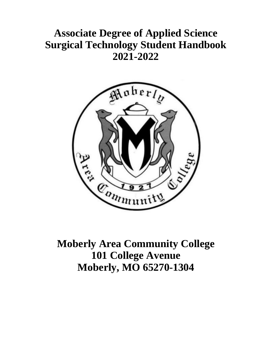# **Associate Degree of Applied Science Surgical Technology Student Handbook 2021-2022**



**Moberly Area Community College 101 College Avenue Moberly, MO 65270-1304**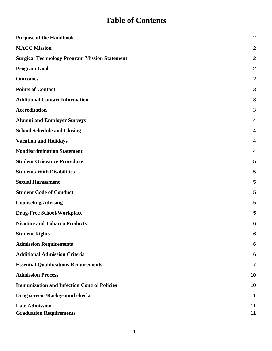# **Table of Contents**

| <b>Purpose of the Handbook</b>                          | $\overline{2}$ |
|---------------------------------------------------------|----------------|
| <b>MACC Mission</b>                                     | $\overline{2}$ |
| <b>Surgical Technology Program Mission Statement</b>    | 2              |
| <b>Program Goals</b>                                    | 2              |
| <b>Outcomes</b>                                         | 2              |
| <b>Points of Contact</b>                                | 3              |
| <b>Additional Contact Information</b>                   | 3              |
| <b>Accreditation</b>                                    | 3              |
| <b>Alumni and Employer Surveys</b>                      | 4              |
| <b>School Schedule and Closing</b>                      | 4              |
| <b>Vacation and Holidays</b>                            | 4              |
| <b>Nondiscrimination Statement</b>                      | 4              |
| <b>Student Grievance Procedure</b>                      | 5              |
| <b>Students With Disabilities</b>                       | 5              |
| <b>Sexual Harassment</b>                                | 5              |
| <b>Student Code of Conduct</b>                          | 5              |
| <b>Counseling/Advising</b>                              | 5              |
| <b>Drug-Free School/Workplace</b>                       | 5              |
| <b>Nicotine and Tobacco Products</b>                    | 6              |
| <b>Student Rights</b>                                   | 6              |
| <b>Admission Requirements</b>                           | 6              |
| <b>Additional Admission Criteria</b>                    | 6              |
| <b>Essential Qualifications Requirements</b>            | 7              |
| <b>Admission Process</b>                                | 10             |
| <b>Immunization and Infection Control Policies</b>      | 10             |
| <b>Drug screens/Background checks</b>                   | 11             |
| <b>Late Admission</b><br><b>Graduation Requirements</b> | 11<br>11       |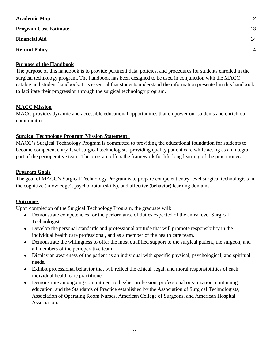| <b>Academic Map</b>          | 12 |
|------------------------------|----|
| <b>Program Cost Estimate</b> | 13 |
| <b>Financial Aid</b>         | 14 |
| <b>Refund Policy</b>         | 14 |

# <span id="page-2-0"></span>**Purpose of the Handbook**

The purpose of this handbook is to provide pertinent data, policies, and procedures for students enrolled in the surgical technology program. The handbook has been designed to be used in conjunction with the MACC catalog and student handbook. It is essential that students understand the information presented in this handbook to facilitate their progression through the surgical technology program.

# <span id="page-2-1"></span>**MACC Mission**

MACC provides dynamic and accessible educational opportunities that empower our students and enrich our communities.

# <span id="page-2-2"></span>**Surgical Technology Program Mission Statement**

MACC's Surgical Technology Program is committed to providing the educational foundation for students to become competent entry-level surgical technologists, providing quality patient care while acting as an integral part of the perioperative team. The program offers the framework for life-long learning of the practitioner.

# <span id="page-2-3"></span>**Program Goals**

The goal of MACC's Surgical Technology Program is to prepare competent entry-level surgical technologists in the cognitive (knowledge), psychomotor (skills), and affective (behavior) learning domains.

# <span id="page-2-4"></span>**Outcomes**

Upon completion of the Surgical Technology Program, the graduate will:

- Demonstrate competencies for the performance of duties expected of the entry level Surgical Technologist.
- Develop the personal standards and professional attitude that will promote responsibility in the individual health care professional, and as a member of the health care team.
- Demonstrate the willingness to offer the most qualified support to the surgical patient, the surgeon, and all members of the perioperative team.
- Display an awareness of the patient as an individual with specific physical, psychological, and spiritual needs.
- Exhibit professional behavior that will reflect the ethical, legal, and moral responsibilities of each individual health care practitioner.
- Demonstrate an ongoing commitment to his/her profession, professional organization, continuing education, and the Standards of Practice established by the Association of Surgical Technologists, Association of Operating Room Nurses, American College of Surgeons, and American Hospital Association.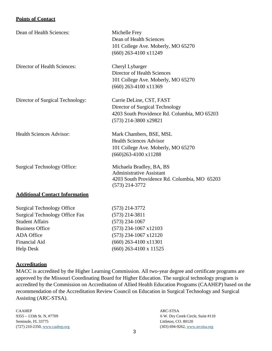# <span id="page-3-0"></span>**Points of Contact**

| Dean of Health Sciences:              | Michelle Frey<br>Dean of Health Sciences<br>101 College Ave. Moberly, MO 65270                                                       |
|---------------------------------------|--------------------------------------------------------------------------------------------------------------------------------------|
|                                       | $(660)$ 263-4100 x11249                                                                                                              |
| Director of Health Sciences:          | Cheryl Lybarger<br>Director of Health Sciences<br>101 College Ave. Moberly, MO 65270<br>$(660)$ 263-4100 x11369                      |
| Director of Surgical Technology:      | Carrie DeLine, CST, FAST<br>Director of Surgical Technology<br>4203 South Providence Rd. Columbia, MO 65203<br>(573) 214-3800 x29821 |
| <b>Health Sciences Advisor:</b>       | Mark Chambers, BSE, MSL<br><b>Health Sciences Advisor</b><br>101 College Ave. Moberly, MO 65270<br>$(660)263 - 4100 \times 11288$    |
| <b>Surgical Technology Office:</b>    | Michaela Bradley, BA, BS<br><b>Administrative Assistant</b><br>4203 South Providence Rd. Columbia, MO 65203<br>$(573)$ 214-3772      |
| <b>Additional Contact Information</b> |                                                                                                                                      |
| <b>Surgical Technology Office</b>     | $(573)$ 214-3772                                                                                                                     |
| <b>Surgical Technology Office Fax</b> | $(573)$ 214-3811                                                                                                                     |
| <b>Student Affairs</b>                | $(573)$ 234-1067                                                                                                                     |
| <b>Business Office</b>                | $(573)$ 234-1067 x12103                                                                                                              |
| <b>ADA</b> Office                     | $(573)$ 234-1067 x12120                                                                                                              |
| Financial Aid                         | $(660)$ 263-4100 $x11301$                                                                                                            |

<span id="page-3-1"></span>Help Desk (660) 263-4100 x 11525

# <span id="page-3-2"></span>**Accreditation**

MACC is accredited by the Higher Learning Commission. All two-year degree and certificate programs are approved by the Missouri Coordinating Board for Higher Education. The surgical technology program is accredited by the Commission on Accreditation of Allied Health Education Programs (CAAHEP) based on the recommendation of the Accreditation Review Council on Education in Surgical Technology and Surgical Assisting (ARC-STSA).

CAAHEP ARC-STSA Seminole, FL 33775 Littleton, CO. 80120

9355 – 133th St. N, #7709 6 W. Dry Creek Circle, Suite #110 (727) 210-2350, [www.caahep.org](http://www.caahep.org/) (303) 694-9262, [www.arcstsa.org](http://www.arcstsa.org/)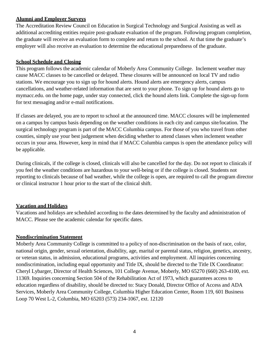# <span id="page-4-0"></span>**Alumni and Employer Surveys**

The Accreditation Review Council on Education in Surgical Technology and Surgical Assisting as well as additional accrediting entities require post-graduate evaluation of the program. Following program completion, the graduate will receive an evaluation form to complete and return to the school. At that time the graduate's employer will also receive an evaluation to determine the educational preparedness of the graduate.

# <span id="page-4-1"></span>**School Schedule and Closing**

This program follows the academic calendar of Moberly Area Community College. Inclement weather may cause MACC classes to be cancelled or delayed. These closures will be announced on local TV and radio stations. We encourage you to sign up for hound alerts. Hound alerts are emergency alerts, campus cancellations, and weather-related information that are sent to your phone. To sign up for hound alerts go to mymacc.edu. on the home page, under stay connected, click the hound alerts link. Complete the sign-up form for text messaging and/or e-mail notifications.

If classes are delayed, you are to report to school at the announced time. MACC closures will be implemented on a campus by campus basis depending on the weather conditions in each city and campus site/location. The surgical technology program is part of the MACC Columbia campus. For those of you who travel from other counties, simply use your best judgement when deciding whether to attend classes when inclement weather occurs in your area. However, keep in mind that if MACC Columbia campus is open the attendance policy will be applicable.

During clinicals, if the college is closed, clinicals will also be cancelled for the day. Do not report to clinicals if you feel the weather conditions are hazardous to your well-being or if the college is closed. Students not reporting to clinicals because of bad weather, while the college is open, are required to call the program director or clinical instructor 1 hour prior to the start of the clinical shift.

# <span id="page-4-2"></span>**Vacation and Holidays**

Vacations and holidays are scheduled according to the dates determined by the faculty and administration of MACC. Please see the academic calendar for specific dates.

# <span id="page-4-3"></span>**Nondiscrimination Statement**

Moberly Area Community College is committed to a policy of non-discrimination on the basis of race, color, national origin, gender, sexual orientation, disability, age, marital or parental status, religion, genetics, ancestry, or veteran status, in admission, educational programs, activities and employment. All inquiries concerning nondiscrimination, including equal opportunity and Title IX, should be directed to the Title IX Coordinator: Cheryl Lybarger, Director of Health Sciences, 101 College Avenue, Moberly, MO 65270 (660) 263-4100, ext. 11369. Inquiries concerning Section 504 of the Rehabilitation Act of 1973, which guarantees access to education regardless of disability, should be directed to: Stacy Donald, Director Office of Access and ADA Services, Moberly Area Community College, Columbia Higher Education Center, Room 119, 601 Business Loop 70 West L-2, Columbia, MO 65203 (573) 234-1067, ext. 12120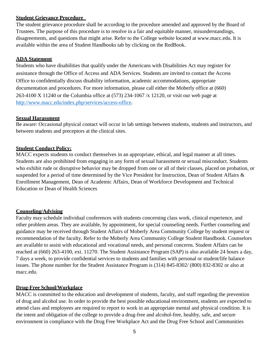### <span id="page-5-0"></span>**Student Grievance Procedure**

The student grievance procedure shall be according to the procedure amended and approved by the Board of Trustees. The purpose of this procedure is to resolve in a fair and equitable manner, misunderstandings, disagreements, and questions that might arise. Refer to the College website located at [www.macc.edu.](http://www.macc.edu/) It is available within the area of Student Handbooks tab by clicking on the RedBook.

### <span id="page-5-1"></span>**ADA Statement**

Students who have disabilities that qualify under the Americans with Disabilities Act may register for assistance through the Office of Access and ADA Services. Students are invited to contact the Access Office to confidentially discuss disability information, academic accommodations, appropriate documentation and procedures. For more information, please call either the Moberly office at (660) 263-4100 X 11240 or the Columbia office at (573) 234-1067 /x 12120, or visit our web page at [http://www.macc.edu/index.php/services/access-office.](http://www.macc.edu/index.php/services/access-office)

### <span id="page-5-2"></span>**Sexual Harassment**

Be aware: Occasional physical contact will occur in lab settings between students, students and instructors, and between students and preceptors at the clinical sites.

### <span id="page-5-3"></span>**Student Conduct Policy:**

MACC expects students to conduct themselves in an appropriate, ethical, and legal manner at all times. Students are also prohibited from engaging in any form of sexual harassment or sexual misconduct. Students who exhibit rude or disruptive behavior may be dropped from one or all of their classes, placed on probation, or suspended for a period of time determined by the Vice President for Instruction, Dean of Student Affairs & Enrollment Management, Dean of Academic Affairs, Dean of Workforce Development and Technical Education or Dean of Health Sciences

# <span id="page-5-4"></span>**Counseling/Advising**

Faculty may schedule individual conferences with students concerning class work, clinical experience, and other problem areas. They are available, by appointment, for special counseling needs. Further counseling and guidance may be received through Student Affairs of Moberly Area Community College by student request or recommendation of the faculty. Refer to the Moberly Area Community College Student Handbook. Counselors are available to assist with educational and vocational needs, and personal concerns. Student Affairs can be reached at (660) 263-4100, ext. 11270. The Student Assistance Program (SAP) is also available 24 hours a day, 7 days a week, to provide confidential services to students and families with personal or student/life balance issues. The phone number for the Student Assistance Program is (314) 845-8302/ (800) 832-8302 or also at macc.edu.

# <span id="page-5-5"></span>**Drug-Free School/Workplace**

MACC is committed to the education and development of students, faculty, and staff regarding the prevention of drug and alcohol use. In order to provide the best possible educational environment, students are expected to attend class and employees are required to report to work in an appropriate mental and physical condition. It is the intent and obligation of the college to provide a drug-free and alcohol-free, healthy, safe, and secure environment in compliance with the Drug Free Workplace Act and the Drug Free School and Communities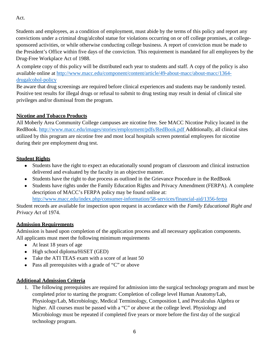Act.

Students and employees, as a condition of employment, must abide by the terms of this policy and report any convictions under a criminal drug/alcohol statue for violations occurring on or off college promises, at collegesponsored activities, or while otherwise conducting college business. A report of conviction must be made to the President's Office within five days of the conviction. This requirement is mandated for all employees by the Drug-Free Workplace Act of 1988.

A complete copy of this policy will be distributed each year to students and staff. A copy of the policy is also available online at [http://www.macc.edu/component/content/article/49-about-macc/about-macc/1364](http://www.macc.edu/component/content/article/49-about-macc/about-macc/1364-drugalcohol-policy)  [drugalcohol-policy](http://www.macc.edu/component/content/article/49-about-macc/about-macc/1364-drugalcohol-policy)

Be aware that drug screenings are required before clinical experiences and students may be randomly tested. Positive test results for illegal drugs or refusal to submit to drug testing may result in denial of clinical site privileges and/or dismissal from the program.

# <span id="page-6-0"></span>**Nicotine and Tobacco Products**

All Moberly Area Community College campuses are nicotine free. See MACC Nicotine Policy located in the RedBook.<http://www.macc.edu/images/stories/employment/pdfs/RedBook.pdf> Additionally, all clinical sites utilized by this program are nicotine free and most local hospitals screen potential employees for nicotine during their pre employment drug test.

# <span id="page-6-1"></span>**Student Rights**

- Students have the right to expect an educationally sound program of classroom and clinical instruction delivered and evaluated by the faculty in an objective manner.
- Students have the right to due process as outlined in the Grievance Procedure in the RedBook
- Students have rights under the Family Education Rights and Privacy Amendment (FERPA). A complete description of MACC's FERPA policy may be found online at: <http://www.macc.edu/index.php/consumer-information/58-services/financial-aid/1356-ferpa>

Student records are available for inspection upon request in accordance with the *Family Educational Right and Privacy Act* of 1974.

# **Admission Requirements**

Admission is based upon completion of the application process and all necessary application components. All applicants must meet the following minimum requirements

- At least 18 years of age
- $\bullet$  High school diploma/HiSET (GED)
- Take the ATI TEAS exam with a score of at least 50
- Pass all prerequisites with a grade of "C" or above

# <span id="page-6-2"></span>**Additional Admission Criteria**

1. The following prerequisites are required for admission into the surgical technology program and must be completed prior to starting the program: Completion of college level Human Anatomy/Lab, Physiology/Lab, Microbiology, Medical Terminology, Composition I, and Precalculus Algebra or higher. All courses must be passed with a "C" or above at the college level. Physiology and Microbiology must be repeated if completed five years or more before the first day of the surgical technology program.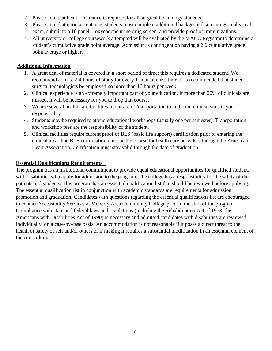- 2. Please note that health insurance is required for all surgical technology students.
- 3. Please note that upon acceptance, students must complete additional background screenings, a physical exam, submit to a 10 panel + oxycodone urine drug screen, and provide proof of immunizations.
- 4. All university or college coursework attempted will be evaluated by the MACC Registrar to determine a student's cumulative grade point average. Admission is contingent on having a 2.0 cumulative grade point average or higher.

# **Additional Information**

- 1. A great deal of material is covered in a short period of time; this requires a dedicated student. We recommend at least 2-4 hours of study for every 1 hour of class time. It is recommended that student surgical technologists be employed no more than 16 hours per week.
- 2. Clinical experience is an extremely important part of your education. If more than 20% of clinicals are missed, it will be necessary for you to drop that course.
- 3. We use several health care facilities in our area. Transportation to and from clinical sites is your responsibility.
- 4. Students may be required to attend educational workshops (usually one per semester). Transportation and workshop fees are the responsibility of the student.
- 5. Clinical facilities require current proof of BLS (basic life support) certification prior to entering the clinical area. The BLS certification must be the course for health care providers through the American Heart Association. Certification must stay valid through the date of graduation.

# <span id="page-7-0"></span>**Essential Qualifications Requirements**

The program has an institutional commitment to provide equal educational opportunities for qualified students with disabilities who apply for admission to the program. The college has a responsibility for the safety of the patients and students. This program has an essential qualification list that should be reviewed before applying. The essential qualification list in conjunction with academic standards are requirements for admission, promotion and graduation. Candidates with questions regarding the essential qualifications list are encouraged to contact Accessibility Services at Moberly Area Community College prior to the start of the program. Compliance with state and federal laws and regulations (including the Rehabilitation Act of 1973, the Americans with Disabilities Act of 1990) is necessary and admitted candidates with disabilities are reviewed individually, on a case-by-case basis. An accommodation is not reasonable if it poses a direct threat to the health or safety of self and/or others or if making it requires a substantial modification in an essential element of the curriculum.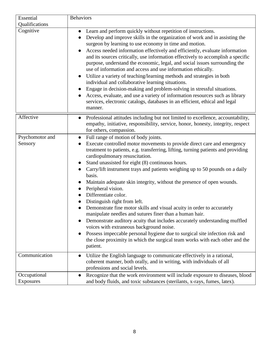| Essential       | <b>Behaviors</b>                                                                                                                                                                                                                                                                                                                                                                                                                                                                                                                                                                                                                                                                                                                                                                                                                                                                                                                               |
|-----------------|------------------------------------------------------------------------------------------------------------------------------------------------------------------------------------------------------------------------------------------------------------------------------------------------------------------------------------------------------------------------------------------------------------------------------------------------------------------------------------------------------------------------------------------------------------------------------------------------------------------------------------------------------------------------------------------------------------------------------------------------------------------------------------------------------------------------------------------------------------------------------------------------------------------------------------------------|
| Qualifications  |                                                                                                                                                                                                                                                                                                                                                                                                                                                                                                                                                                                                                                                                                                                                                                                                                                                                                                                                                |
| Cognitive       | Learn and perform quickly without repetition of instructions.<br>$\bullet$<br>Develop and improve skills in the organization of work and in assisting the<br>surgeon by learning to use economy in time and motion.<br>Access needed information effectively and efficiently, evaluate information<br>and its sources critically, use information effectively to accomplish a specific<br>purpose, understand the economic, legal, and social issues surrounding the<br>use of information and access and use information ethically.<br>Utilize a variety of teaching/learning methods and strategies in both<br>individual and collaborative learning situations.<br>Engage in decision-making and problem-solving in stressful situations.<br>Access, evaluate, and use a variety of information resources such as library<br>services, electronic catalogs, databases in an efficient, ethical and legal<br>manner.                         |
| Affective       | Professional attitudes including but not limited to excellence, accountability,<br>empathy, initiative, responsibility, service, honor, honesty, integrity, respect<br>for others, compassion.                                                                                                                                                                                                                                                                                                                                                                                                                                                                                                                                                                                                                                                                                                                                                 |
| Psychomotor and | Full range of motion of body joints.<br>$\bullet$                                                                                                                                                                                                                                                                                                                                                                                                                                                                                                                                                                                                                                                                                                                                                                                                                                                                                              |
| Sensory         | Execute controlled motor movements to provide direct care and emergency<br>treatment to patients, e.g. transferring, lifting, turning patients and providing<br>cardiopulmonary resuscitation.<br>Stand unassisted for eight (8) continuous hours.<br>Carry/lift instrument trays and patients weighing up to 50 pounds on a daily<br>basis.<br>Maintain adequate skin integrity, without the presence of open wounds.<br>Peripheral vision.<br>Differentiate color.<br>Distinguish right from left.<br>Demonstrate fine motor skills and visual acuity in order to accurately<br>manipulate needles and sutures finer than a human hair.<br>Demonstrate auditory acuity that includes accurately understanding muffled<br>voices with extraneous background noise.<br>Possess impeccable personal hygiene due to surgical site infection risk and<br>the close proximity in which the surgical team works with each other and the<br>patient. |
| Communication   | Utilize the English language to communicate effectively in a rational,<br>coherent manner, both orally, and in writing, with individuals of all<br>professions and social levels.                                                                                                                                                                                                                                                                                                                                                                                                                                                                                                                                                                                                                                                                                                                                                              |
| Occupational    | Recognize that the work environment will include exposure to diseases, blood                                                                                                                                                                                                                                                                                                                                                                                                                                                                                                                                                                                                                                                                                                                                                                                                                                                                   |
| Exposures       | and body fluids, and toxic substances (sterilants, x-rays, fumes, latex).                                                                                                                                                                                                                                                                                                                                                                                                                                                                                                                                                                                                                                                                                                                                                                                                                                                                      |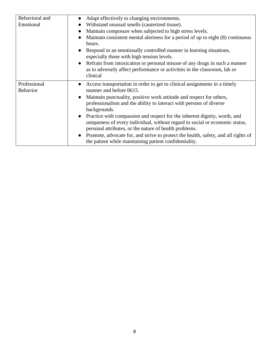| Behavioral and                  | Adapt effectively to changing environments.                                                                                                                                                                         |
|---------------------------------|---------------------------------------------------------------------------------------------------------------------------------------------------------------------------------------------------------------------|
| Emotional                       | Withstand unusual smells (cauterized tissue).                                                                                                                                                                       |
|                                 | Maintain composure when subjected to high stress levels.<br>$\bullet$                                                                                                                                               |
|                                 | Maintain consistent mental alertness for a period of up to eight (8) continuous<br>hours.                                                                                                                           |
|                                 | Respond in an emotionally controlled manner in learning situations,<br>especially those with high tension levels.                                                                                                   |
|                                 | Refrain from intoxication or personal misuse of any drugs in such a manner<br>$\bullet$<br>as to adversely affect performance or activities in the classroom, lab or<br>clinical                                    |
| Professional<br><b>Behavior</b> | Access transportation in order to get to clinical assignments in a timely<br>$\bullet$<br>manner and before 0615.                                                                                                   |
|                                 | Maintain punctuality, positive work attitude and respect for others,                                                                                                                                                |
|                                 | professionalism and the ability to interact with persons of diverse<br>backgrounds.                                                                                                                                 |
|                                 | Practice with compassion and respect for the inherent dignity, worth, and<br>uniqueness of every individual, without regard to social or economic status,<br>personal attributes, or the nature of health problems. |
|                                 | Promote, advocate for, and strive to protect the health, safety, and all rights of<br>the patient while maintaining patient confidentiality.                                                                        |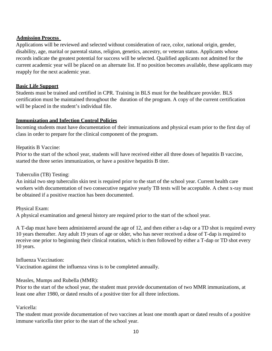# <span id="page-10-0"></span> **Admission Process**

Applications will be reviewed and selected without consideration of race, color, national origin, gender, disability, age, marital or parental status, religion, genetics, ancestry, or veteran status. Applicants whose records indicate the greatest potential for success will be selected. Qualified applicants not admitted for the current academic year will be placed on an alternate list. If no position becomes available, these applicants may reapply for the next academic year.

# **Basic Life Support**

Students must be trained and certified in CPR. Training in BLS must for the healthcare provider. BLS certification must be maintained throughout the duration of the program. A copy of the current certification will be placed in the student's individual file.

# <span id="page-10-1"></span>**Immunization and Infection Control Policies**

Incoming students must have documentation of their immunizations and physical exam prior to the first day of class in order to prepare for the clinical component of the program.

# Hepatitis B Vaccine:

Prior to the start of the school year, students will have received either all three doses of hepatitis B vaccine, started the three series immunization, or have a positive hepatitis B titer.

# Tuberculin (TB) Testing:

An initial two step tuberculin skin test is required prior to the start of the school year. Current health care workers with documentation of two consecutive negative yearly TB tests will be acceptable. A chest x-ray must be obtained if a positive reaction has been documented.

# Physical Exam:

A physical examination and general history are required prior to the start of the school year.

A T-dap must have been administered around the age of 12, and then either a t-dap or a TD shot is required every 10 years thereafter. Any adult 19 years of age or older, who has never received a dose of T-dap is required to receive one prior to beginning their clinical rotation, which is then followed by either a T-dap or TD shot every 10 years.

Influenza Vaccination:

Vaccination against the influenza virus is to be completed annually.

# Measles, Mumps and Rubella (MMR):

Prior to the start of the school year, the student must provide documentation of two MMR immunizations, at least one after 1980, or dated results of a positive titer for all three infections.

# Varicella:

The student must provide documentation of two vaccines at least one month apart or dated results of a positive immune varicella titer prior to the start of the school year.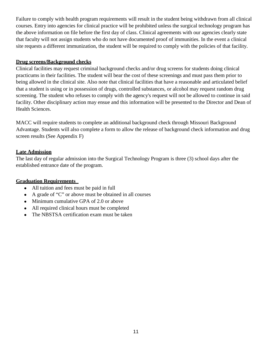Failure to comply with health program requirements will result in the student being withdrawn from all clinical courses. Entry into agencies for clinical practice will be prohibited unless the surgical technology program has the above information on file before the first day of class. Clinical agreements with our agencies clearly state that faculty will not assign students who do not have documented proof of immunities. In the event a clinical site requests a different immunization, the student will be required to comply with the policies of that facility.

### <span id="page-11-0"></span>**Drug screens/Background checks**

Clinical facilities may request criminal background checks and/or drug screens for students doing clinical practicums in their facilities. The student will bear the cost of these screenings and must pass them prior to being allowed in the clinical site. Also note that clinical facilities that have a reasonable and articulated belief that a student is using or in possession of drugs, controlled substances, or alcohol may request random drug screening. The student who refuses to comply with the agency's request will not be allowed to continue in said facility. Other disciplinary action may ensue and this information will be presented to the Director and Dean of Health Sciences.

MACC will require students to complete an additional background check through Missouri Background Advantage. Students will also complete a form to allow the release of background check information and drug screen results (See Appendix F)

# <span id="page-11-1"></span>**Late Admission**

The last day of regular admission into the Surgical Technology Program is three (3) school days after the established entrance date of the program.

# <span id="page-11-2"></span>**Graduation Requirements**

- All tuition and fees must be paid in full
- A grade of "C" or above must be obtained in all courses
- Minimum cumulative GPA of 2.0 or above
- All required clinical hours must be completed
- The NBSTSA certification exam must be taken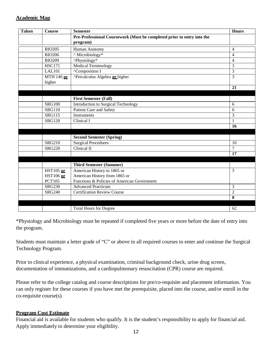# <span id="page-12-0"></span>**Academic Map**

| <b>Taken</b> | Course                            | <b>Semester</b>                                                              | <b>Hours</b>   |
|--------------|-----------------------------------|------------------------------------------------------------------------------|----------------|
|              |                                   | Pre-Professional Coursework (Must be completed prior to entry into the       |                |
|              |                                   | program)                                                                     |                |
|              | <b>BIO205</b>                     | Human Anatomy                                                                | $\overline{4}$ |
|              | <b>BIO206</b>                     | ^ Microbiology*                                                              | $\overline{4}$ |
|              | <b>BIO209</b>                     | ^Physiology*                                                                 | 4              |
|              | <b>HSC171</b>                     | <b>Medical Terminology</b>                                                   | $\overline{3}$ |
|              | <b>LAL101</b>                     | <sup>^</sup> Composition I                                                   | 3              |
|              | $MTH$ 140 or                      | <b>^Precalculus Algebra or higher</b>                                        | $\overline{3}$ |
|              | higher                            |                                                                              |                |
|              |                                   |                                                                              | 21             |
|              |                                   |                                                                              |                |
|              |                                   | <b>First Semester (Fall)</b>                                                 |                |
|              | <b>SRG100</b>                     | <b>Introduction to Surgical Technology</b>                                   | 6              |
|              | <b>SRG110</b>                     | Patient Care and Safety                                                      | 6              |
|              | <b>SRG115</b>                     | Instruments                                                                  | 3              |
|              | <b>SRG120</b>                     | Clinical I                                                                   | $\mathbf{1}$   |
|              |                                   |                                                                              | 16             |
|              |                                   |                                                                              |                |
|              |                                   | <b>Second Semester (Spring)</b>                                              |                |
|              | <b>SRG210</b>                     | <b>Surgical Procedures</b>                                                   | 10             |
|              | <b>SRG220</b>                     | Clinical II                                                                  | $\overline{7}$ |
|              |                                   |                                                                              | 17             |
|              |                                   |                                                                              |                |
|              |                                   | <b>Third Semester (Summer)</b>                                               |                |
|              | HST105 or                         | American History to 1865 or                                                  | $\overline{3}$ |
|              | <b>HST106</b> or<br><b>PCT105</b> | American History from 1865 or<br>Functions & Policies of American Government |                |
|              | <b>SRG230</b>                     | <b>Advanced Practicum</b>                                                    | 3              |
|              | <b>SRG240</b>                     | <b>Certification Review Course</b>                                           | $\overline{2}$ |
|              |                                   |                                                                              | 8              |
|              |                                   |                                                                              |                |
|              |                                   | <b>Total Hours for Degree</b>                                                | 62             |
|              |                                   |                                                                              |                |

\*Physiology and Microbiology must be repeated if completed five years or more before the date of entry into the program.

Students must maintain a letter grade of "C" or above in all required courses to enter and continue the Surgical Technology Program.

Prior to clinical experience, a physical examination, criminal background check, urine drug screen, documentation of immunizations, and a cardiopulmonary resuscitation (CPR) course are required.

Please refer to the college catalog and course descriptions for pre/co-requisite and placement information. You can only register for these courses if you have met the prerequisite, placed into the course, and/or enroll in the co-requisite course(s).

# <span id="page-12-1"></span>**Program Cost Estimate**

Financial aid is available for students who qualify. It is the student's responsibility to apply for financial aid. Apply immediately to determine your eligibility.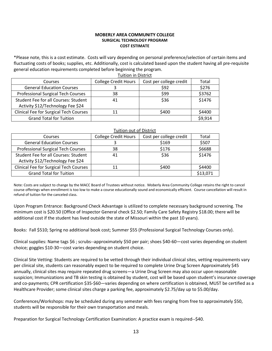#### **MOBERLY AREA COMMUNITY COLLEGE SURGICAL TECHNOLOGY PROGRAM COST ESTIMATE**

\*Please note, this is a cost estimate. Costs will vary depending on personal preference/selection of certain items and fluctuating costs of books; supplies, etc. Additionally, cost is calculated based upon the student having all pre-requisite general education requirements completed before beginning the program.

| <b>Tuition in District</b>                |                             |                         |         |
|-------------------------------------------|-----------------------------|-------------------------|---------|
| Courses                                   | <b>College Credit Hours</b> | Cost per college credit | Total   |
| <b>General Education Courses</b>          |                             | \$92                    | \$276   |
| <b>Professional Surgical Tech Courses</b> | 38                          | \$99                    | \$3762  |
| Student Fee for all Courses: Student      | 41                          | \$36                    | \$1476  |
| Activity \$12/Technology Fee \$24         |                             |                         |         |
| Clinical Fee for Surgical Tech Courses    | 11                          | \$400                   | \$4400  |
| <b>Grand Total for Tuition</b>            |                             |                         | \$9,914 |

#### Tuition out of District

| Courses                                       | <b>College Credit Hours</b> | Cost per college credit | Total    |
|-----------------------------------------------|-----------------------------|-------------------------|----------|
| <b>General Education Courses</b>              |                             | \$169                   | \$507    |
| <b>Professional Surgical Tech Courses</b>     | 38                          | \$176                   | \$6688   |
| Student Fee for all Courses: Student          | 41                          | \$36                    | \$1476   |
| Activity \$12/Technology Fee \$24             |                             |                         |          |
| <b>Clinical Fee for Surgical Tech Courses</b> | 11                          | \$400                   | \$4400   |
| <b>Grand Total for Tuition</b>                |                             |                         | \$13,071 |

Note: Costs are subject to change by the MACC Board of Trustees without notice. Moberly Area Community College retains the right to cancel course offerings when enrollment is too low to make a course educationally sound and economically efficient. Course cancellation will result in refund of tuition for the canceled class.

Upon Program Entrance: Background Check Advantage is utilized to complete necessary background screening. The minimum cost is \$20.50 (Office of Inspector General check \$2.50; Family Care Safety Registry \$18.00; there will be additional cost if the student has lived outside the state of Missouri within the past 10 years).

Books: Fall \$510; Spring no additional book cost; Summer \$55 (Professional Surgical Technology Courses only).

Clinical supplies: Name tags \$6 ; scrubs--approximately \$50 per pair; shoes \$40-60—cost varies depending on student choice; goggles \$10-30—cost varies depending on student choice.

Clinical Site Vetting: Students are required to be vetted through their individual clinical sites, vetting requirements vary per clinical site, students can reasonably expect to be required to complete Urine Drug Screen Approximately \$45 annually, clinical sites may require repeated drug screens—a Urine Drug Screen may also occur upon reasonable suspicion; Immunizations and TB skin testing is obtained by student, cost will be based upon student's insurance coverage and co-payments; CPR certification \$35-\$60—varies depending on where certification is obtained, MUST be certified as a Healthcare Provider; some clinical sites charge a parking fee, approximately \$2.75/day up to \$5.00/day.

Conferences/Workshops: may be scheduled during any semester with fees ranging from free to approximately \$50, students will be responsible for their own transportation and meals.

Preparation for Surgical Technology Certification Examination: A practice exam is required--\$40.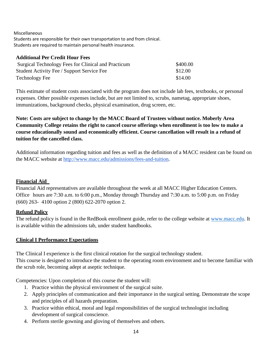Miscellaneous

Students are responsible for their own transportation to and from clinical. Students are required to maintain personal health insurance.

# **Additional Per Credit Hour Fees**

| Surgical Technology Fees for Clinical and Practicum | \$400.00 |
|-----------------------------------------------------|----------|
| Student Activity Fee / Support Service Fee          | \$12.00  |
| Technology Fee                                      | \$14.00  |

This estimate of student costs associated with the program does not include lab fees, textbooks, or personal expenses. Other possible expenses include, but are not limited to, scrubs, nametag, appropriate shoes, immunizations, background checks, physical examination, drug screen, etc.

**Note: Costs are subject to change by the MACC Board of Trustees without notice. Moberly Area Community College retains the right to cancel course offerings when enrollment is too low to make a course educationally sound and economically efficient. Course cancellation will result in a refund of tuition for the cancelled class.**

Additional information regarding tuition and fees as well as the definition of a MACC resident can be found on the MACC website at [http://www.macc.edu/admissions/fees-and-tuition.](http://www.macc.edu/admissions/fees-and-tuition)

# <span id="page-14-0"></span>**Financial Aid**

Financial Aid representatives are available throughout the week at all MACC Higher Education Centers. Office hours are 7:30 a.m. to 6:00 p.m., Monday through Thursday and 7:30 a.m. to 5:00 p.m. on Friday (660) 263- 4100 option 2 (800) 622-2070 option 2.

# <span id="page-14-1"></span>**Refund Policy**

The refund policy is found in the RedBook enrollment guide, refer to the college website at [www.macc.edu.](http://www.macc.edu/) It is available within the admissions tab, under student handbooks.

# **Clinical I Performance Expectations**

The Clinical I experience is the first clinical rotation for the surgical technology student. This course is designed to introduce the student to the operating room environment and to become familiar with the scrub role, becoming adept at aseptic technique.

Competencies: Upon completion of this course the student will:

- 1. Practice within the physical environment of the surgical suite.
- 2. Apply principles of communication and their importance in the surgical setting. Demonstrate the scope and principles of all hazards preparation.
- 3. Practice within ethical, moral and legal responsibilities of the surgical technologist including development of surgical conscience.
- 4. Perform sterile gowning and gloving of themselves and others.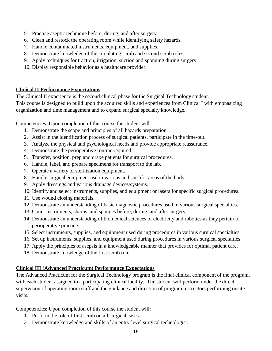- 5. Practice aseptic technique before, during, and after surgery.
- 6. Clean and restock the operating room while identifying safety hazards.
- 7. Handle contaminated instruments, equipment, and supplies.
- 8. Demonstrate knowledge of the circulating scrub and second scrub roles.
- 9. Apply techniques for traction, irrigation, suction and sponging during surgery.
- 10. Display responsible behavior as a healthcare provider.

# **Clinical II Performance Expectations**

The Clinical II experience is the second clinical phase for the Surgical Technology student. This course is designed to build upon the acquired skills and experiences from Clinical I with emphasizing organization and time management and to expand surgical specialty knowledge.

Competencies: Upon completion of this course the student will:

- 1. Demonstrate the scope and principles of all hazards preparation.
- 2. Assist in the identification process of surgical patients, participate in the time-out.
- 3. Analyze the physical and psychological needs and provide appropriate reassurance.
- 4. Demonstrate the perioperative routine required.
- 5. Transfer, position, prep and drape patients for surgical procedures.
- 6. Handle, label, and prepare specimens for transport to the lab.
- 7. Operate a variety of sterilization equipment.
- 8. Handle surgical equipment usd in various and specific areas of the body.
- 9. Apply dressings and various drainage devices/systems.
- 10. Identify and select instruments, supplies, and equipment or lasers for specific surgical procedures.
- 11. Use wound closing materials.
- 12. Demonstrate an understanding of basic diagnostic procedures used in various surgical specialties.
- 13. Count instruments, sharps, and sponges before, during, and after surgery.
- 14. Demonstrate an understanding of biomedical sciences of electricity and robotics as they pertain to perioperative practice.
- 15. Select instruments, supplies, and equipment used during procedures in various surgical specialties.
- 16. Set up instruments, supplies, and equipment used during procedures in various surgical specialties.
- 17. Apply the principles of asepsis in a knowledgeable manner that provides for optimal patient care.
- 18. Demonstrate knowledge of the first scrub role.

# **Clinical III (Advanced Practicum) Performance Expectations**

The Advanced Practicum for the Surgical Technology program is the final clinical component of the program, with each student assigned to a participating clinical facility. The student will perform under the direct supervision of operating room staff and the guidance and direction of program instructors performing onsite visits.

Competencies: Upon completion of this course the student will:

- 1. Perform the role of first scrub on all surgical cases.
- 2. Demonstrate knowledge and skills of an entry-level surgical technologist.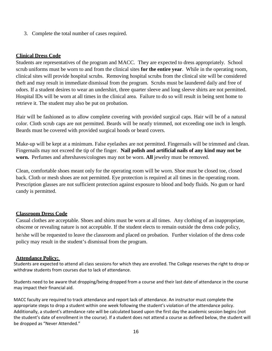3. Complete the total number of cases required.

### **Clinical Dress Code**

Students are representatives of the program and MACC. They are expected to dress appropriately. School scrub uniforms must be worn to and from the clinical sites **for the entire year**. While in the operating room, clinical sites will provide hospital scrubs. Removing hospital scrubs from the clinical site will be considered theft and may result in immediate dismissal from the program. Scrubs must be laundered daily and free of odors. If a student desires to wear an undershirt, three quarter sleeve and long sleeve shirts are not permitted. Hospital IDs will be worn at all times in the clinical area. Failure to do so will result in being sent home to retrieve it. The student may also be put on probation.

Hair will be fashioned as to allow complete covering with provided surgical caps. Hair will be of a natural color. Cloth scrub caps are not permitted. Beards will be neatly trimmed, not exceeding one inch in length. Beards must be covered with provided surgical hoods or beard covers.

Make-up will be kept at a minimum. False eyelashes are not permitted. Fingernails will be trimmed and clean. Fingernails may not exceed the tip of the finger. **Nail polish and artificial nails of any kind may not be worn.** Perfumes and aftershaves/colognes may not be worn. **All** jewelry must be removed.

Clean, comfortable shoes meant only for the operating room will be worn. Shoe must be closed toe, closed back. Cloth or mesh shoes are not permitted. Eye protection is required at all times in the operating room. Prescription glasses are not sufficient protection against exposure to blood and body fluids. No gum or hard candy is permitted.

#### **Classroom Dress Code**

Casual clothes are acceptable. Shoes and shirts must be worn at all times. Any clothing of an inappropriate, obscene or revealing nature is not acceptable. If the student elects to remain outside the dress code policy, he/she will be requested to leave the classroom and placed on probation. Further violation of the dress code policy may result in the student's dismissal from the program.

#### **Attendance Policy:**

Students are expected to attend all class sessions for which they are enrolled. The College reserves the right to drop or withdraw students from courses due to lack of attendance.

Students need to be aware that dropping/being dropped from a course and their last date of attendance in the course may impact their financial aid.

MACC faculty are required to track attendance and report lack of attendance. An instructor must complete the appropriate steps to drop a student within one week following the student's violation of the attendance policy. Additionally, a student's attendance rate will be calculated based upon the first day the academic session begins (not the student's date of enrollment in the course). If a student does not attend a course as defined below, the student will be dropped as "Never Attended."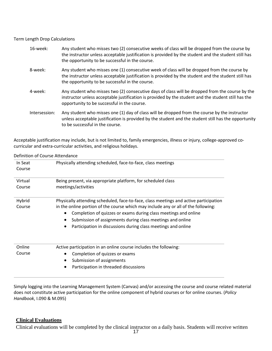#### Term Length Drop Calculations

| 16-week:      | Any student who misses two (2) consecutive weeks of class will be dropped from the course by<br>the instructor unless acceptable justification is provided by the student and the student still has<br>the opportunity to be successful in the course. |
|---------------|--------------------------------------------------------------------------------------------------------------------------------------------------------------------------------------------------------------------------------------------------------|
| 8-week:       | Any student who misses one (1) consecutive week of class will be dropped from the course by<br>the instructor unless acceptable justification is provided by the student and the student still has<br>the opportunity to be successful in the course.  |
| 4-week:       | Any student who misses two (2) consecutive days of class will be dropped from the course by the<br>instructor unless acceptable justification is provided by the student and the student still has the<br>opportunity to be successful in the course.  |
| Intersession: | Any student who misses one (1) day of class will be dropped from the course by the instructor<br>unless acceptable justification is provided by the student and the student still has the opportunity<br>to be successful in the course.               |

Acceptable justification may include, but is not limited to, family emergencies, illness or injury, college-approved cocurricular and extra-curricular activities, and religious holidays.

| Physically attending scheduled, face-to-face, class meetings                          |  |  |
|---------------------------------------------------------------------------------------|--|--|
|                                                                                       |  |  |
| Being present, via appropriate platform, for scheduled class                          |  |  |
| meetings/activities                                                                   |  |  |
| Physically attending scheduled, face-to-face, class meetings and active participation |  |  |
| in the online portion of the course which may include any or all of the following:    |  |  |
| Completion of quizzes or exams during class meetings and online                       |  |  |
| Submission of assignments during class meetings and online                            |  |  |
| Participation in discussions during class meetings and online                         |  |  |
| Active participation in an online course includes the following:                      |  |  |
| Completion of quizzes or exams                                                        |  |  |
| Submission of assignments<br>٠                                                        |  |  |
| Participation in threaded discussions                                                 |  |  |
|                                                                                       |  |  |

Simply logging into the Learning Management System (Canvas) and/or accessing the course and course related material does not constitute active participation for the online component of hybrid courses or for online courses. (*Policy Handbook*, I.090 & M.095)

# **Clinical Evaluations**

Clinical evaluations will be completed by the clinical instructor on a daily basis. Students will receive written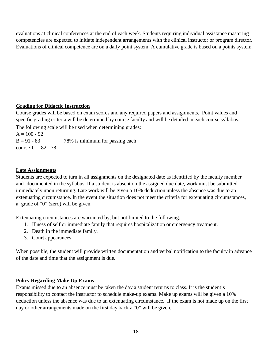evaluations at clinical conferences at the end of each week. Students requiring individual assistance mastering competencies are expected to initiate independent arrangements with the clinical instructor or program director. Evaluations of clinical competence are on a daily point system. A cumulative grade is based on a points system.

# **Grading for Didactic Instruction**

Course grades will be based on exam scores and any required papers and assignments. Point values and specific grading criteria will be determined by course faculty and will be detailed in each course syllabus. The following scale will be used when determining grades:

 $A = 100 - 92$  $B = 91 - 83$  78% is minimum for passing each course  $C = 82 - 78$ 

# **Late Assignments**

Students are expected to turn in all assignments on the designated date as identified by the faculty member and documented in the syllabus. If a student is absent on the assigned due date, work must be submitted immediately upon returning. Late work will be given a 10% deduction unless the absence was due to an extenuating circumstance. In the event the situation does not meet the criteria for extenuating circumstances, a grade of "0" (zero) will be given.

Extenuating circumstances are warranted by, but not limited to the following:

- 1. Illness of self or immediate family that requires hospitalization or emergency treatment.
- 2. Death in the immediate family.
- 3. Court appearances.

When possible, the student will provide written documentation and verbal notification to the faculty in advance of the date and time that the assignment is due.

# **Policy Regarding Make Up Exams**

Exams missed due to an absence must be taken the day a student returns to class. It is the student's responsibility to contact the instructor to schedule make-up exams. Make up exams will be given a 10% deduction unless the absence was due to an extenuating circumstance. If the exam is not made up on the first day or other arrangements made on the first day back a "0" will be given.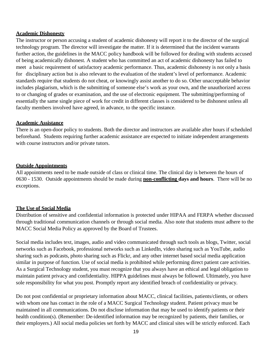### **Academic Dishonesty**

The instructor or person accusing a student of academic dishonesty will report it to the director of the surgical technology program. The director will investigate the matter. If it is determined that the incident warrants further action, the guidelines in the MACC policy handbook will be followed for dealing with students accused of being academically dishonest. A student who has committed an act of academic dishonesty has failed to meet a basic requirement of satisfactory academic performance. Thus, academic dishonesty is not only a basis for disciplinary action but is also relevant to the evaluation of the student's level of performance. Academic standards require that students do not cheat, or knowingly assist another to do so. Other unacceptable behavior includes plagiarism, which is the submitting of someone else's work as your own, and the unauthorized access to or changing of grades or examination, and the use of electronic equipment. The submitting/performing of essentially the same single piece of work for credit in different classes is considered to be dishonest unless all faculty members involved have agreed, in advance, to the specific instance.

# **Academic Assistance**

There is an open-door policy to students. Both the director and instructors are available after hours if scheduled beforehand. Students requiring further academic assistance are expected to initiate independent arrangements with course instructors and/or private tutors.

# **Outside Appointments**

All appointments need to be made outside of class or clinical time. The clinical day is between the hours of 0630 - 1530. Outside appointments should be made during **non-conflicting days and hours**. There will be no exceptions.

# **The Use of Social Media**

Distribution of sensitive and confidential information is protected under HIPAA and FERPA whether discussed through traditional communication channels or through social media. Also note that students must adhere to the MACC Social Media Policy as approved by the Board of Trustees.

Social media includes text, images, audio and video communicated through such tools as blogs, Twitter, social networks such as Facebook, professional networks such as LinkedIn, video sharing such as YouTube, audio sharing such as podcasts, photo sharing such as Flickr, and any other internet based social media application similar in purpose of function. Use of social media is prohibited while performing direct patient care activities. As a Surgical Technology student, you must recognize that you always have an ethical and legal obligation to maintain patient privacy and confidentiality. HIPPA guidelines must always be followed. Ultimately, you have sole responsibility for what you post. Promptly report any identified breach of confidentiality or privacy.

Do not post confidential or proprietary information about MACC, clinical facilities, patients/clients, or others with whom one has contact in the role of a MACC Surgical Technology student. Patient privacy must be maintained in all communications. Do not disclose information that may be used to identify patients or their health condition(s). (Remember: De-identified information may be recognized by patients, their families, or their employers.) All social media policies set forth by MACC and clinical sites will be strictly enforced. Each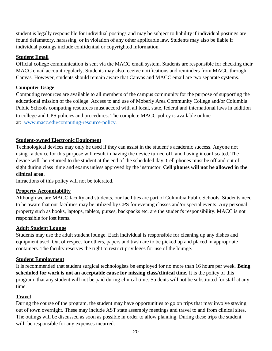student is legally responsible for individual postings and may be subject to liability if individual postings are found defamatory, harassing, or in violation of any other applicable law. Students may also be liable if individual postings include confidential or copyrighted information.

# **Student Email**

Official college communication is sent via the MACC email system. Students are responsible for checking their MACC email account regularly. Students may also receive notifications and reminders from MACC through Canvas. However, students should remain aware that Canvas and MACC email are two separate systems.

# **Computer Usage**

Computing resources are available to all members of the campus community for the purpose of supporting the educational mission of the college. Access to and use of Moberly Area Community College and/or Columbia Public Schools computing resources must accord with all local, state, federal and international laws in addition to college and CPS policies and procedures. The complete MACC policy is available online at: [www.macc.edu/computing-resource-policy.](http://www.macc.edu/computing-resource-policy)

# **Student-owned Electronic Equipment**

Technological devices may only be used if they can assist in the student's academic success. Anyone not using a device for this purpose will result in having the device turned off, and having it confiscated. The device will be returned to the student at the end of the scheduled day. Cell phones must be off and out of sight during class time and exams unless approved by the instructor. **Cell phones will not be allowed in the clinical area.**

Infractions of this policy will not be tolerated.

# **Property Accountability**

Although we are MACC faculty and students, our facilities are part of Columbia Public Schools. Students need to be aware that our facilities may be utilized by CPS for evening classes and/or special events. Any personal property such as books, laptops, tablets, purses, backpacks etc. are the student's responsibility. MACC is not responsible for lost items.

# **Adult Student Lounge**

Students may use the adult student lounge. Each individual is responsible for cleaning up any dishes and equipment used. Out of respect for others, papers and trash are to be picked up and placed in appropriate containers. The faculty reserves the right to restrict privileges for use of the lounge.

# **Student Employment**

It is recommended that student surgical technologists be employed for no more than 16 hours per week. **Being scheduled for work is not an acceptable cause for missing class/clinical time.** It is the policy of this program that any student will not be paid during clinical time. Students will not be substituted for staff at any time.

# **Travel**

During the course of the program, the student may have opportunities to go on trips that may involve staying out of town overnight. These may include AST state assembly meetings and travel to and from clinical sites. The outings will be discussed as soon as possible in order to allow planning. During these trips the student will be responsible for any expenses incurred.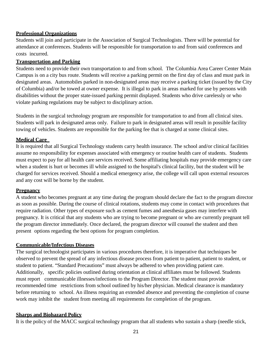# **Professional Organizations**

Students will join and participate in the Association of Surgical Technologists. There will be potential for attendance at conferences. Students will be responsible for transportation to and from said conferences and costs incurred.

### **Transportation and Parking**

Students need to provide their own transportation to and from school. The Columbia Area Career Center Main Campus is on a city bus route. Students will receive a parking permit on the first day of class and must park in designated areas. Automobiles parked in non-designated areas may receive a parking ticket (issued by the City of Columbia) and/or be towed at owner expense. It is illegal to park in areas marked for use by persons with disabilities without the proper state-issued parking permit displayed. Students who drive carelessly or who violate parking regulations may be subject to disciplinary action.

Students in the surgical technology program are responsible for transportation to and from all clinical sites. Students will park in designated areas only. Failure to park in designated areas will result in possible facility towing of vehicles. Students are responsible for the parking fee that is charged at some clinical sites.

# **Medical Care**

It is required that all Surgical Technology students carry health insurance. The school and/or clinical facilities assume no responsibility for expenses associated with emergency or routine health care of students. Students must expect to pay for all health care services received. Some affiliating hospitals may provide emergency care when a student is hurt or becomes ill while assigned to the hospital's clinical facility, but the student will be charged for services received. Should a medical emergency arise, the college will call upon external resources and any cost will be borne by the student.

# **Pregnancy**

A student who becomes pregnant at any time during the program should declare the fact to the program director as soon as possible. During the course of clinical rotations, students may come in contact with procedures that require radiation. Other types of exposure such as cement fumes and anesthesia gases may interfere with pregnancy. It is critical that any students who are trying to become pregnant or who are currently pregnant tell the program director immediately. Once declared, the program director will counsel the student and then present options regarding the best options for program completion.

#### **Communicable/Infectious Diseases**

The surgical technologist participates in various procedures therefore, it is imperative that techniques be observed to prevent the spread of any infectious disease process from patient to patient, patient to student, or student to patient. "Standard Precautions" must always be adhered to when providing patient care. Additionally, specific policies outlined during orientation at clinical affiliates must be followed. Students must report communicable illnesses/infections to the Program Director. The student must provide recommended time restrictions from school outlined by his/her physician. Medical clearance is mandatory before returning to school. An illness requiring an extended absence and preventing the completion of course work may inhibit the student from meeting all requirements for completion of the program.

#### **Sharps and Biohazard Policy**

It is the policy of the MACC surgical technology program that all students who sustain a sharp (needle stick,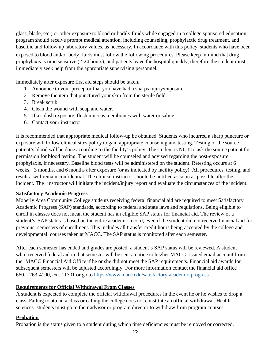glass, blade, etc.) or other exposure to blood or bodily fluids while engaged in a college sponsored education program should receive prompt medical attention, including counseling, prophylactic drug treatment, and baseline and follow up laboratory values, as necessary. In accordance with this policy, students who have been exposed to blood and/or body fluids must follow the following procedures. Please keep in mind that drug prophylaxis is time sensitive (2-24 hours), and patients leave the hospital quickly, therefore the student must immediately seek help from the appropriate supervising personnel.

Immediately after exposure first aid steps should be taken.

- 1. Announce to your preceptor that you have had a sharps injury/exposure.
- 2. Remove the item that punctured your skin from the sterile field.
- 3. Break scrub.
- 4. Clean the wound with soap and water.
- 5. If a splash exposure, flush mucous membranes with water or saline.
- 6. Contact your instructor

It is recommended that appropriate medical follow-up be obtained. Students who incurred a sharp puncture or exposure will follow clinical sites policy to gain appropriate counseling and testing. Testing of the source patient's blood will be done according to the facility's policy. The student is NOT to ask the source patient for permission for blood testing. The student will be counseled and advised regarding the post-exposure prophylaxis, if necessary. Baseline blood tests will be administered on the student. Retesting occurs at 6 weeks, 3 months, and 6 months after exposure (or as indicated by facility policy). All procedures, testing, and results will remain confidential. The clinical instructor should be notified as soon as possible after the incident. The instructor will initiate the incident/injury report and evaluate the circumstances of the incident.

# **Satisfactory Academic Progress**

Moberly Area Community College students receiving federal financial aid are required to meet Satisfactory Academic Progress (SAP) standards, according to federal and state laws and regulations. Being eligible to enroll in classes does not mean the student has an eligible SAP status for financial aid. The review of a student's SAP status is based on the entire academic record, even if the student did not receive financial aid for previous semesters of enrollment. This includes all transfer credit hours being accepted by the college and developmental courses taken at MACC. The SAP status is monitored after each semester.

After each semester has ended and grades are posted, a student's SAP status will be reviewed. A student who received federal aid in that semester will be sent a notice to his/her MACC- issued email account from the MACC Financial Aid Office if he or she did not meet the SAP requirements. Financial aid awards for subsequent semesters will be adjusted accordingly. For more information contact the financial aid office 660- 263-4100, ext. 11301 or go to <https://www.macc.edu/satisfactory-academic-progress>

# **Requirements for Official Withdrawal From Classes**

A student is expected to complete the official withdrawal procedures in the event he or he wishes to drop a class. Failing to attend a class or calling the college does not constitute an official withdrawal. Health sciences students must go to their advisor or program director to withdraw from program courses.

# **Probation**

Probation is the status given to a student during which time deficiencies must be removed or corrected.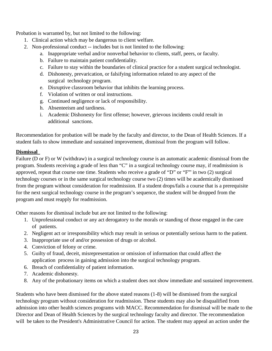Probation is warranted by, but not limited to the following:

- 1. Clinical action which may be dangerous to client welfare.
- 2. Non-professional conduct -- includes but is not limited to the following:
	- a. Inappropriate verbal and/or nonverbal behavior to clients, staff, peers, or faculty.
	- b. Failure to maintain patient confidentiality.
	- c. Failure to stay within the boundaries of clinical practice for a student surgical technologist.
	- d. Dishonesty, prevarication, or falsifying information related to any aspect of the surgical technology program.
	- e. Disruptive classroom behavior that inhibits the learning process.
	- f. Violation of written or oral instructions.
	- g. Continued negligence or lack of responsibility.
	- h. Absenteeism and tardiness.
	- i. Academic Dishonesty for first offense; however, grievous incidents could result in additional sanctions.

Recommendation for probation will be made by the faculty and director, to the Dean of Health Sciences. If a student fails to show immediate and sustained improvement, dismissal from the program will follow.

# **Dismissal**

Failure (D or F) or W (withdraw) in a surgical technology course is an automatic academic dismissal from the program. Students receiving a grade of less than "C" in a surgical technology course may, if readmission is approved, repeat that course one time. Students who receive a grade of "D" or "F"' in two (2) surgical technology courses or in the same surgical technology course two (2) times will be academically dismissed from the program without consideration for readmission. If a student drops/fails a course that is a prerequisite for the next surgical technology course in the program's sequence, the student will be dropped from the program and must reapply for readmission.

Other reasons for dismissal include but are not limited to the following:

- 1. Unprofessional conduct or any act derogatory to the morals or standing of those engaged in the care of patients.
- 2. Negligent act or irresponsibility which may result in serious or potentially serious harm to the patient.
- 3. Inappropriate use of and/or possession of drugs or alcohol.
- 4. Conviction of felony or crime.
- 5. Guilty of fraud, deceit, misrepresentation or omission of information that could affect the application process in gaining admission into the surgical technology program.
- 6. Breach of confidentiality of patient information.
- 7. Academic dishonesty.
- 8. Any of the probationary items on which a student does not show immediate and sustained improvement.

Students who have been dismissed for the above stated reasons (1-8) will be dismissed from the surgical technology program without consideration for readmission. These students may also be disqualified from admission into other health sciences programs with MACC. Recommendation for dismissal will be made to the Director and Dean of Health Sciences by the surgical technology faculty and director. The recommendation will be taken to the President's Administrative Council for action. The student may appeal an action under the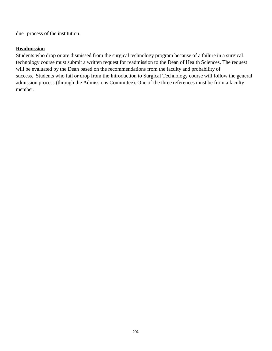due process of the institution.

### **Readmission**

Students who drop or are dismissed from the surgical technology program because of a failure in a surgical technology course must submit a written request for readmission to the Dean of Health Sciences. The request will be evaluated by the Dean based on the recommendations from the faculty and probability of success. Students who fail or drop from the Introduction to Surgical Technology course will follow the general admission process (through the Admissions Committee). One of the three references must be from a faculty member.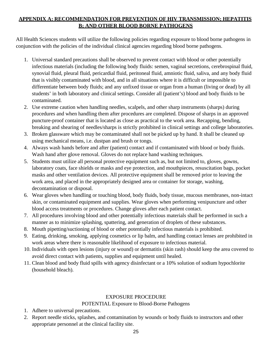# **APPENDIX A: RECOMMENDATION FOR PREVENTION OF HIV TRANSMISSION; HEPATITIS B; AND OTHER BLOOD BORNE PATHOGENS**

All Health Sciences students will utilize the following policies regarding exposure to blood borne pathogens in conjunction with the policies of the individual clinical agencies regarding blood borne pathogens.

- 1. Universal standard precautions shall be observed to prevent contact with blood or other potentially infectious materials (including the following body fluids: semen, vaginal secretions, cerebrospinal fluid, synovial fluid, pleural fluid, pericardial fluid, peritoneal fluid, amniotic fluid, saliva, and any body fluid that is visibly contaminated with blood, and in all situations where it is difficult or impossible to differentiate between body fluids; and any unfixed tissue or organ from a human (living or dead) by all students' in both laboratory and clinical settings. Consider all (patient's) blood and body fluids to be contaminated.
- 2. Use extreme caution when handling needles, scalpels, and other sharp instruments (sharps) during procedures and when handling them after procedures are completed. Dispose of sharps in an approved puncture-proof container that is located as close as practical to the work area. Recapping, bending, breaking and shearing of needles/sharps is strictly prohibited in clinical settings and college laboratories.
- 3. Broken glassware which may be contaminated shall not be picked up by hand. It shall be cleaned up using mechanical means, i.e. dustpan and brush or tongs.
- 4. Always wash hands before and after (patient) contact and if contaminated with blood or body fluids. Wash hand after glove removal. Gloves do not replace hand washing techniques.
- 5. Students must utilize all personal protective equipment such as, but not limited to, gloves, gowns, laboratory coats, face shields or masks and eye protection, and mouthpieces, resuscitation bags, pocket masks and other ventilation devices. All protective equipment shall be removed prior to leaving the work area, and placed in the appropriately designed area or container for storage, washing, decontamination or disposal.
- 6. Wear gloves when handling or touching blood, body fluids, body tissue, mucous membranes, non-intact skin, or contaminated equipment and supplies. Wear gloves when performing venipuncture and other blood access treatments or procedures. Change gloves after each patient contact.
- 7. All procedures involving blood and other potentially infectious materials shall be performed in such a manner as to minimize splashing, spattering, and generation of droplets of these substances.
- 8. Mouth pipetting/suctioning of blood or other potentially infectious materials is prohibited.
- 9. Eating, drinking, smoking, applying cosmetics or lip balm, and handling contact lenses are prohibited in work areas where there is reasonable likelihood of exposure to infectious material.
- 10. Individuals with open lesions (injury or wound) or dermatitis (skin rash) should keep the area covered to avoid direct contact with patients, supplies and equipment until healed.
- 11. Clean blood and body fluid spills with agency disinfectant or a 10% solution of sodium hypochlorite (household bleach).

# EXPOSURE PROCEDURE

# POTENTIAL Exposure to Blood-Borne Pathogens

- 1. Adhere to universal precautions.
- 2. Report needle sticks, splashes, and contamination by wounds or body fluids to instructors and other appropriate personnel at the clinical facility site.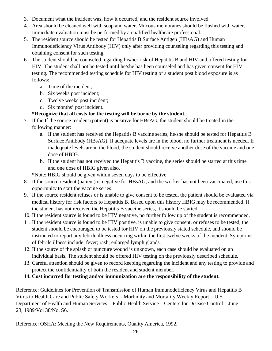- 3. Document what the incident was, how it occurred, and the resident source involved.
- 4. Area should be cleaned well with soap and water. Mucous membranes should be flushed with water. Immediate evaluation must be performed by a qualified healthcare professional.
- 5. The resident source should be tested for Hepatitis B Surface Antigen (HBsAG) and Human Immunodeficiency Virus Antibody (HIV) only after providing counseling regarding this testing and obtaining consent for such testing.
- 6. The student should be counseled regarding his/her risk of Hepatitis B and HIV and offered testing for HIV. The student shall not be tested until he/she has been counseled and has given consent for HIV testing. The recommended testing schedule for HIV testing of a student post blood exposure is as follows:
	- a. Time of the incident;
	- b. Six weeks post incident;
	- c. Twelve weeks post incident;
	- d. Six months' post incident.

# **\*Recognize that all costs for the testing will be borne by the student.**

- 7. If the If the source resident (patient) is positive for HBsAG, the student should be treated in the following manner:
	- a. If the student has received the Hepatitis B vaccine series, he/she should be tested for Hepatitis B Surface Antibody (HBsAG). If adequate levels are in the blood, no further treatment is needed. If inadequate levels are in the blood, the student should receive another dose of the vaccine and one dose of HBIG.
	- b. If the student has not received the Hepatitis B vaccine, the series should be started at this time and one dose of HBIG given also.

\*Note: HBIG should be given within seven days to be effective.

- 8. If the source resident (patient) is negative for HBsAG, and the worker has not been vaccinated, use this opportunity to start the vaccine series.
- 9. If the source resident refuses or is unable to give consent to be tested, the patient should be evaluated via medical history for risk factors to Hepatitis B. Based upon this history HBIG may be recommended. If the student has not received the Hepatitis B vaccine series, it should be started.
- 10. If the resident source is found to be HIV negative, no further follow up of the student is recommended.
- 11. If the resident source is found to be HIV positive, is unable to give consent, or refuses to be tested, the student should be encouraged to be tested for HIV on the previously stated schedule, and should be instructed to report any febrile illness occurring within the first twelve weeks of the incident. Symptoms of febrile illness include: fever; rash; enlarged lymph glands.
- 12. If the source of the splash or puncture wound is unknown, each case should be evaluated on an individual basis. The student should be offered HIV testing on the previously described schedule.
- 13. Careful attention should be given to record keeping regarding the incident and any testing to provide and protect the confidentiality of both the resident and student member.
- **14. Cost incurred for testing and/or immunization are the responsibility of the student.**

Reference: Guidelines for Prevention of Transmission of Human Immunodeficiency Virus and Hepatitis B Virus to Health Care and Public Safety Workers – Morbidity and Mortality Weekly Report – U.S. Department of Health and Human Services – Public Health Service – Centers for Disease Control – June 23, 1989/Vol 38/No. S6.

Reference: OSHA: Meeting the New Requirements, Quality America, 1992.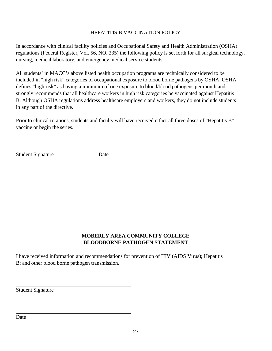# HEPATITIS B VACCINATION POLICY

In accordance with clinical facility policies and Occupational Safety and Health Administration (OSHA) regulations (Federal Register, Vol. 56, NO. 235) the following policy is set forth for all surgical technology, nursing, medical laboratory, and emergency medical service students:

All students' in MACC's above listed health occupation programs are technically considered to be included in "high risk" categories of occupational exposure to blood borne pathogens by OSHA. OSHA defines "high risk" as having a minimum of one exposure to blood/blood pathogens per month and strongly recommends that all healthcare workers in high risk categories be vaccinated against Hepatitis B. Although OSHA regulations address healthcare employers and workers, they do not include students in any part of the directive.

Prior to clinical rotations, students and faculty will have received either all three doses of "Hepatitis B" vaccine or begin the series.

Student Signature Date

# **MOBERLY AREA COMMUNITY COLLEGE BLOODBORNE PATHOGEN STATEMENT**

I have received information and recommendations for prevention of HIV (AIDS Virus); Hepatitis B; and other blood borne pathogen transmission.

Student Signature

Date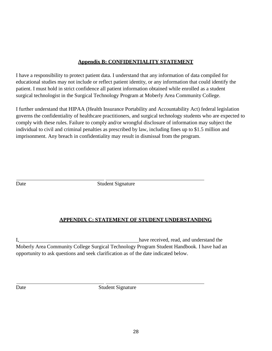# **Appendix B: CONFIDENTIALITY STATEMENT**

I have a responsibility to protect patient data. I understand that any information of data compiled for educational studies may not include or reflect patient identity, or any information that could identify the patient. I must hold in strict confidence all patient information obtained while enrolled as a student surgical technologist in the Surgical Technology Program at Moberly Area Community College.

I further understand that HIPAA (Health Insurance Portability and Accountability Act) federal legislation governs the confidentiality of healthcare practitioners, and surgical technology students who are expected to comply with these rules. Failure to comply and/or wrongful disclosure of information may subject the individual to civil and criminal penalties as prescribed by law, including fines up to \$1.5 million and imprisonment. Any breach in confidentiality may result in dismissal from the program.

Date Student Signature

# **APPENDIX C: STATEMENT OF STUDENT UNDERSTANDING**

I, have received, read, and understand the Moberly Area Community College Surgical Technology Program Student Handbook. I have had an opportunity to ask questions and seek clarification as of the date indicated below.

Date Student Signature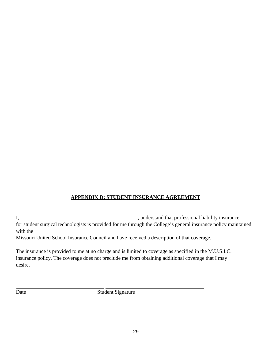# **APPENDIX D: STUDENT INSURANCE AGREEMENT**

I, 1. **I**  $\frac{1}{2}$  , understand that professional liability insurance for student surgical technologists is provided for me through the College's general insurance policy maintained with the

Missouri United School Insurance Council and have received a description of that coverage.

The insurance is provided to me at no charge and is limited to coverage as specified in the M.U.S.I.C. insurance policy. The coverage does not preclude me from obtaining additional coverage that I may desire.

Date Student Signature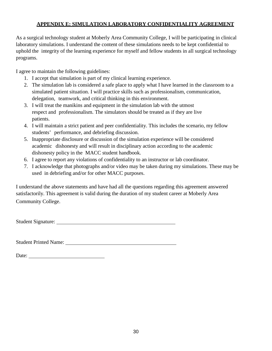# **APPENDIX E: SIMULATION LABORATORY CONFIDENTIALITY AGREEMENT**

As a surgical technology student at Moberly Area Community College, I will be participating in clinical laboratory simulations. I understand the content of these simulations needs to be kept confidential to uphold the integrity of the learning experience for myself and fellow students in all surgical technology programs.

I agree to maintain the following guidelines:

- 1. I accept that simulation is part of my clinical learning experience.
- 2. The simulation lab is considered a safe place to apply what I have learned in the classroom to a simulated patient situation. I will practice skills such as professionalism, communication, delegation, teamwork, and critical thinking in this environment.
- 3. I will treat the manikins and equipment in the simulation lab with the utmost respect and professionalism. The simulators should be treated as if they are live patients.
- 4. I will maintain a strict patient and peer confidentiality. This includes the scenario, my fellow students' performance, and debriefing discussion.
- 5. Inappropriate disclosure or discussion of the simulation experience will be considered academic dishonesty and will result in disciplinary action according to the academic dishonesty policy in the MACC student handbook.
- 6. I agree to report any violations of confidentiality to an instructor or lab coordinator.
- 7. I acknowledge that photographs and/or video may be taken during my simulations. These may be used in debriefing and/or for other MACC purposes.

I understand the above statements and have had all the questions regarding this agreement answered satisfactorily. This agreement is valid during the duration of my student career at Moberly Area Community College.

Student Signature:

Student Printed Name:

Date: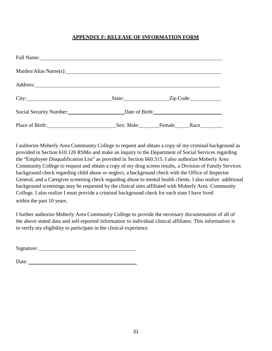# **APPENDIX F: RELEASE OF INFORMATION FORM**

|                                                       | State: <u>Zip Code:</u> |                              |
|-------------------------------------------------------|-------------------------|------------------------------|
| Social Security Number: Date of Birth: Date of Birth: |                         |                              |
| Place of Birth:                                       | Sex: Male: Female       | $\text{Race}\_\_\_\_\_\_\_\$ |

I authorize Moberly Area Community College to request and obtain a copy of my criminal background as provided in Section 610.120 RSMo and make an inquiry to the Department of Social Services regarding the "Employee Disqualification List" as provided in Section 660.315. I also authorize Moberly Area Community College to request and obtain a copy of my drug screen results, a Division of Family Services background check regarding child abuse or neglect, a background check with the Office of Inspector General, and a Caregiver screening check regarding abuse to mental health clients. I also realize additional background screenings may be requested by the clinical sites affiliated with Moberly Area Community College. I also realize I must provide a criminal background check for each state I have lived within the past 10 years.

I further authorize Moberly Area Community College to provide the necessary documentation of all of the above stated data and self-reported information to individual clinical affiliates. This information is to verify my eligibility to participate in the clinical experience.

Signature: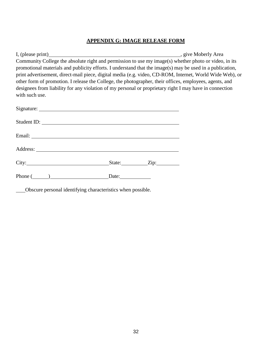# **APPENDIX G: IMAGE RELEASE FORM**

I, (please print) , give Moberly Area Community College the absolute right and permission to use my image(s) whether photo or video, in its promotional materials and publicity efforts. I understand that the image(s) may be used in a publication, print advertisement, direct-mail piece, digital media (e.g. video, CD-ROM, Internet, World Wide Web), or other form of promotion. I release the College, the photographer, their offices, employees, agents, and designees from liability for any violation of my personal or proprietary right I may have in connection with such use.

| Student ID:           |                     |  |
|-----------------------|---------------------|--|
|                       |                     |  |
|                       |                     |  |
|                       | State: <u>Zip:</u>  |  |
| Phone $\qquad \qquad$ | Date: $\frac{ }{ }$ |  |

Obscure personal identifying characteristics when possible.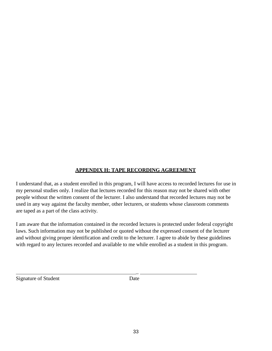# **APPENDIX H: TAPE RECORDING AGREEMENT**

I understand that, as a student enrolled in this program, I will have access to recorded lectures for use in my personal studies only. I realize that lectures recorded for this reason may not be shared with other people without the written consent of the lecturer. I also understand that recorded lectures may not be used in any way against the faculty member, other lecturers, or students whose classroom comments are taped as a part of the class activity.

I am aware that the information contained in the recorded lectures is protected under federal copyright laws. Such information may not be published or quoted without the expressed consent of the lecturer and without giving proper identification and credit to the lecturer. I agree to abide by these guidelines with regard to any lectures recorded and available to me while enrolled as a student in this program.

Signature of Student Date

 $\overline{a}$